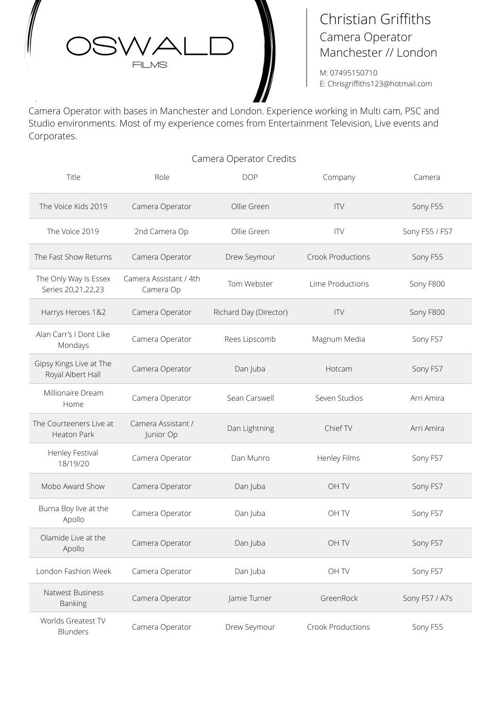

# Christian Griffiths Camera Operator Manchester // London

M: 07495150710 E: Chrisgriffiths123@hotmail.com

Camera Operator with bases in Manchester and London. Experience working in Multi cam, PSC and Studio environments. Most of my experience comes from Entertainment Television, Live events and Corporates.

# Camera Operator Credits

| Title                                        | Role                                | <b>DOP</b>             | Company                  | Camera         |
|----------------------------------------------|-------------------------------------|------------------------|--------------------------|----------------|
| The Voice Kids 2019                          | Camera Operator                     | Ollie Green            | <b>ITV</b>               | Sony F55       |
| The Voice 2019                               | 2nd Camera Op                       | Ollie Green            | <b>ITV</b>               | Sony F55 / FS7 |
| The Fast Show Returns                        | Camera Operator                     | Drew Seymour           | <b>Crook Productions</b> | Sony F55       |
| The Only Way Is Essex<br>Series 20,21,22,23  | Camera Assistant / 4th<br>Camera Op | Tom Webster            | Lime Productions         | Sony F800      |
| Harrys Heroes 1&2                            | Camera Operator                     | Richard Day (Director) | <b>ITV</b>               | Sony F800      |
| Alan Carr's I Dont Like<br>Mondays           | Camera Operator                     | Rees Lipscomb          | Magnum Media             | Sony FS7       |
| Gipsy Kings Live at The<br>Royal Albert Hall | Camera Operator                     | Dan Juba               | Hotcam                   | Sony FS7       |
| Millionaire Dream<br>Home                    | Camera Operator                     | Sean Carswell          | Seven Studios            | Arri Amira     |
| The Courteeners Live at<br>Heaton Park       | Camera Assistant /<br>Junior Op     | Dan Lightning          | Chief TV                 | Arri Amira     |
| Henley Festival<br>18/19/20                  | Camera Operator                     | Dan Munro              | Henley Films             | Sony FS7       |
| Mobo Award Show                              | Camera Operator                     | Dan Juba               | OH TV                    | Sony FS7       |
| Burna Boy live at the<br>Apollo              | Camera Operator                     | Dan Juba               | OH TV                    | Sony FS7       |
| Olamide Live at the<br>Apollo                | Camera Operator                     | Dan Juba               | OH TV                    | Sony FS7       |
| London Fashion Week                          | Camera Operator                     | Dan Juba               | OH TV                    | Sony FS7       |
| Natwest Business<br><b>Banking</b>           | Camera Operator                     | Jamie Turner           | GreenRock                | Sony FS7 / A7s |
| Worlds Greatest TV<br>Blunders               | Camera Operator                     | Drew Seymour           | Crook Productions        | Sony F55       |